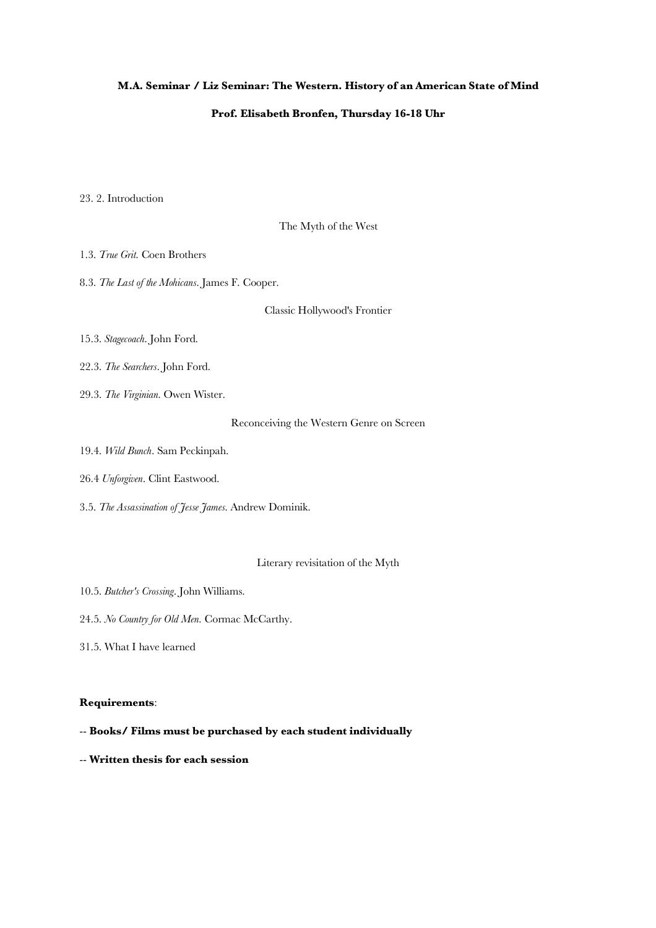## **M.A. Seminar / Liz Seminar: The Western. History of an American State of Mind**

## **Prof. Elisabeth Bronfen, Thursday 16-18 Uhr**

23. 2. Introduction

The Myth of the West

1.3. *True Grit*. Coen Brothers

8.3. *The Last of the Mohicans*. James F. Cooper.

Classic Hollywood's Frontier

15.3. *Stagecoach*. John Ford.

22.3. *The Searchers*. John Ford.

29.3. *The Virginian*. Owen Wister.

Reconceiving the Western Genre on Screen

19.4. *Wild Bunch*. Sam Peckinpah.

26.4 *Unforgiven*. Clint Eastwood.

3.5. *The Assassination of Jesse James*. Andrew Dominik.

Literary revisitation of the Myth

10.5. *Butcher's Crossing*. John Williams.

24.5. *No Country for Old Men*. Cormac McCarthy.

31.5. What I have learned

## **Requirements**:

-- **Books/ Films must be purchased by each student individually**

-- **Written thesis for each session**